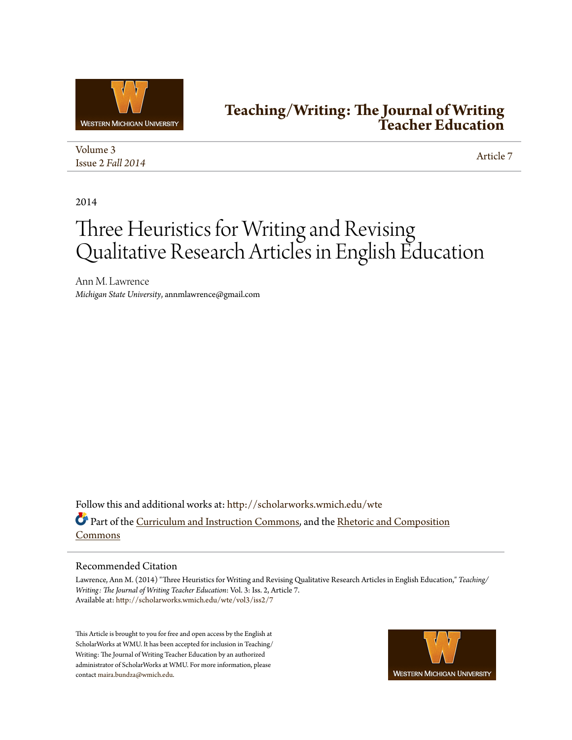

# **[Teaching/Writing: The Journal of Writing](http://scholarworks.wmich.edu/wte?utm_source=scholarworks.wmich.edu%2Fwte%2Fvol3%2Fiss2%2F7&utm_medium=PDF&utm_campaign=PDFCoverPages) [Teacher Education](http://scholarworks.wmich.edu/wte?utm_source=scholarworks.wmich.edu%2Fwte%2Fvol3%2Fiss2%2F7&utm_medium=PDF&utm_campaign=PDFCoverPages)**

[Volume 3](http://scholarworks.wmich.edu/wte/vol3?utm_source=scholarworks.wmich.edu%2Fwte%2Fvol3%2Fiss2%2F7&utm_medium=PDF&utm_campaign=PDFCoverPages) Issue 2 *[Fall 2014](http://scholarworks.wmich.edu/wte/vol3/iss2?utm_source=scholarworks.wmich.edu%2Fwte%2Fvol3%2Fiss2%2F7&utm_medium=PDF&utm_campaign=PDFCoverPages)* [Article 7](http://scholarworks.wmich.edu/wte/vol3/iss2/7?utm_source=scholarworks.wmich.edu%2Fwte%2Fvol3%2Fiss2%2F7&utm_medium=PDF&utm_campaign=PDFCoverPages)

2014

# Three Heuristics for Writing and Revising Qualitative Research Articles in English Education

Ann M. Lawrence *Michigan State University*, annmlawrence@gmail.com

Follow this and additional works at: [http://scholarworks.wmich.edu/wte](http://scholarworks.wmich.edu/wte?utm_source=scholarworks.wmich.edu%2Fwte%2Fvol3%2Fiss2%2F7&utm_medium=PDF&utm_campaign=PDFCoverPages) Part of the [Curriculum and Instruction Commons](http://network.bepress.com/hgg/discipline/786?utm_source=scholarworks.wmich.edu%2Fwte%2Fvol3%2Fiss2%2F7&utm_medium=PDF&utm_campaign=PDFCoverPages), and the [Rhetoric and Composition](http://network.bepress.com/hgg/discipline/573?utm_source=scholarworks.wmich.edu%2Fwte%2Fvol3%2Fiss2%2F7&utm_medium=PDF&utm_campaign=PDFCoverPages) [Commons](http://network.bepress.com/hgg/discipline/573?utm_source=scholarworks.wmich.edu%2Fwte%2Fvol3%2Fiss2%2F7&utm_medium=PDF&utm_campaign=PDFCoverPages)

# Recommended Citation

Lawrence, Ann M. (2014) "Three Heuristics for Writing and Revising Qualitative Research Articles in English Education," *Teaching/ Writing: The Journal of Writing Teacher Education*: Vol. 3: Iss. 2, Article 7. Available at: [http://scholarworks.wmich.edu/wte/vol3/iss2/7](http://scholarworks.wmich.edu/wte/vol3/iss2/7?utm_source=scholarworks.wmich.edu%2Fwte%2Fvol3%2Fiss2%2F7&utm_medium=PDF&utm_campaign=PDFCoverPages)

This Article is brought to you for free and open access by the English at ScholarWorks at WMU. It has been accepted for inclusion in Teaching/ Writing: The Journal of Writing Teacher Education by an authorized administrator of ScholarWorks at WMU. For more information, please contact [maira.bundza@wmich.edu](mailto:maira.bundza@wmich.edu).

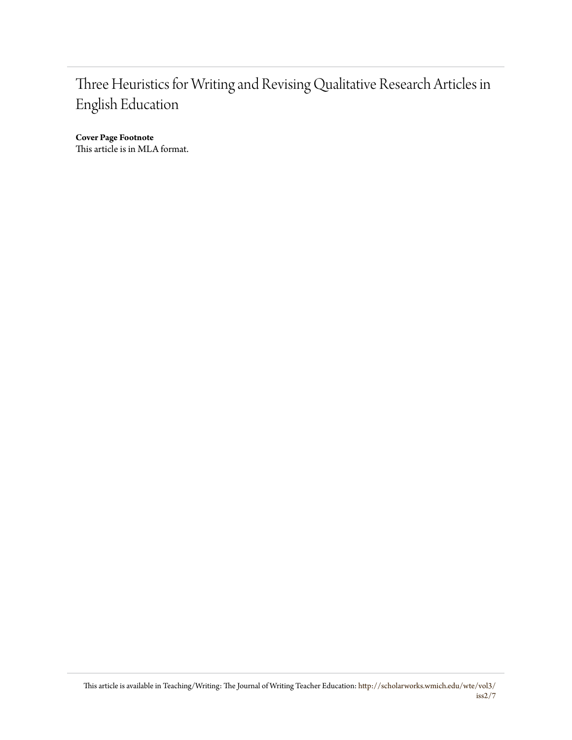# Three Heuristics for Writing and Revising Qualitative Research Articles in English Education

**Cover Page Footnote** This article is in MLA format.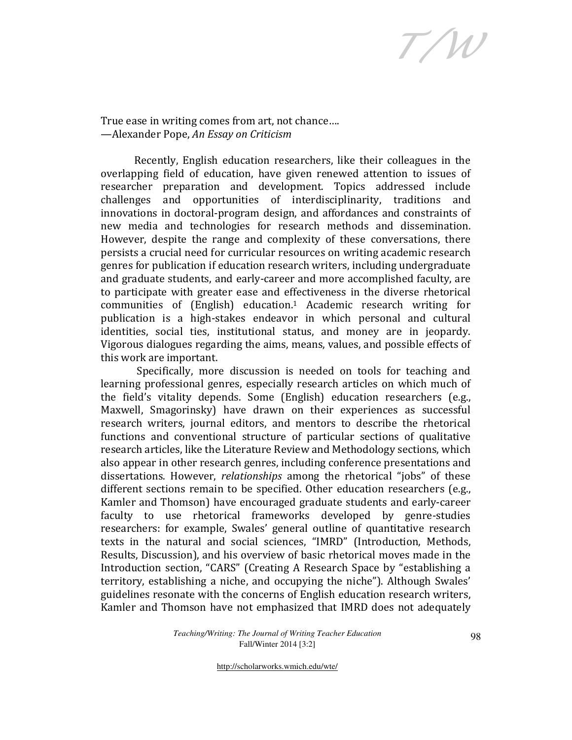T/W

True ease in writing comes from art, not chance…. —Alexander Pope, An Essay on Criticism

Recently, English education researchers, like their colleagues in the overlapping field of education, have given renewed attention to issues of researcher preparation and development. Topics addressed include challenges and opportunities of interdisciplinarity, traditions and innovations in doctoral-program design, and affordances and constraints of new media and technologies for research methods and dissemination. However, despite the range and complexity of these conversations, there persists a crucial need for curricular resources on writing academic research genres for publication if education research writers, including undergraduate and graduate students, and early-career and more accomplished faculty, are to participate with greater ease and effectiveness in the diverse rhetorical communities of (English) education.1 Academic research writing for publication is a high-stakes endeavor in which personal and cultural identities, social ties, institutional status, and money are in jeopardy. Vigorous dialogues regarding the aims, means, values, and possible effects of this work are important.

 Specifically, more discussion is needed on tools for teaching and learning professional genres, especially research articles on which much of the field's vitality depends. Some (English) education researchers (e.g., Maxwell, Smagorinsky) have drawn on their experiences as successful research writers, journal editors, and mentors to describe the rhetorical functions and conventional structure of particular sections of qualitative research articles, like the Literature Review and Methodology sections, which also appear in other research genres, including conference presentations and dissertations. However, relationships among the rhetorical "jobs" of these different sections remain to be specified. Other education researchers (e.g., Kamler and Thomson) have encouraged graduate students and early-career faculty to use rhetorical frameworks developed by genre-studies researchers: for example, Swales' general outline of quantitative research texts in the natural and social sciences, "IMRD" (Introduction, Methods, Results, Discussion), and his overview of basic rhetorical moves made in the Introduction section, "CARS" (Creating A Research Space by "establishing a territory, establishing a niche, and occupying the niche"). Although Swales' guidelines resonate with the concerns of English education research writers, Kamler and Thomson have not emphasized that IMRD does not adequately

> *Teaching/Writing: The Journal of Writing Teacher Education*  Fall/Winter 2014 [3:2]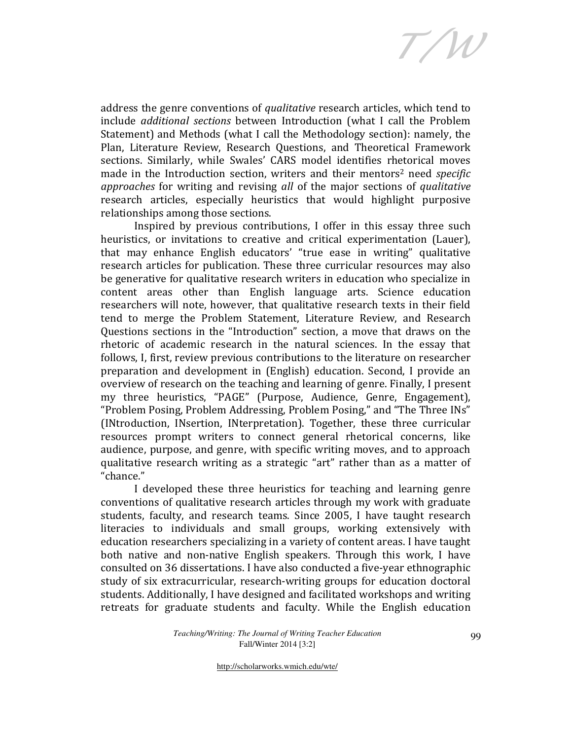T/W

address the genre conventions of qualitative research articles, which tend to include additional sections between Introduction (what I call the Problem Statement) and Methods (what I call the Methodology section): namely, the Plan, Literature Review, Research Questions, and Theoretical Framework sections. Similarly, while Swales' CARS model identifies rhetorical moves made in the Introduction section, writers and their mentors<sup>2</sup> need specific approaches for writing and revising all of the major sections of qualitative research articles, especially heuristics that would highlight purposive relationships among those sections.

Inspired by previous contributions, I offer in this essay three such heuristics, or invitations to creative and critical experimentation (Lauer), that may enhance English educators' "true ease in writing" qualitative research articles for publication. These three curricular resources may also be generative for qualitative research writers in education who specialize in content areas other than English language arts. Science education researchers will note, however, that qualitative research texts in their field tend to merge the Problem Statement, Literature Review, and Research Questions sections in the "Introduction" section, a move that draws on the rhetoric of academic research in the natural sciences. In the essay that follows, I, first, review previous contributions to the literature on researcher preparation and development in (English) education. Second, I provide an overview of research on the teaching and learning of genre. Finally, I present my three heuristics, "PAGE" (Purpose, Audience, Genre, Engagement), "Problem Posing, Problem Addressing, Problem Posing," and "The Three INs" (INtroduction, INsertion, INterpretation). Together, these three curricular resources prompt writers to connect general rhetorical concerns, like audience, purpose, and genre, with specific writing moves, and to approach qualitative research writing as a strategic "art" rather than as a matter of "chance."

I developed these three heuristics for teaching and learning genre conventions of qualitative research articles through my work with graduate students, faculty, and research teams. Since 2005, I have taught research literacies to individuals and small groups, working extensively with education researchers specializing in a variety of content areas. I have taught both native and non-native English speakers. Through this work, I have consulted on 36 dissertations. I have also conducted a five-year ethnographic study of six extracurricular, research-writing groups for education doctoral students. Additionally, I have designed and facilitated workshops and writing retreats for graduate students and faculty. While the English education

> *Teaching/Writing: The Journal of Writing Teacher Education*  Fall/Winter 2014 [3:2]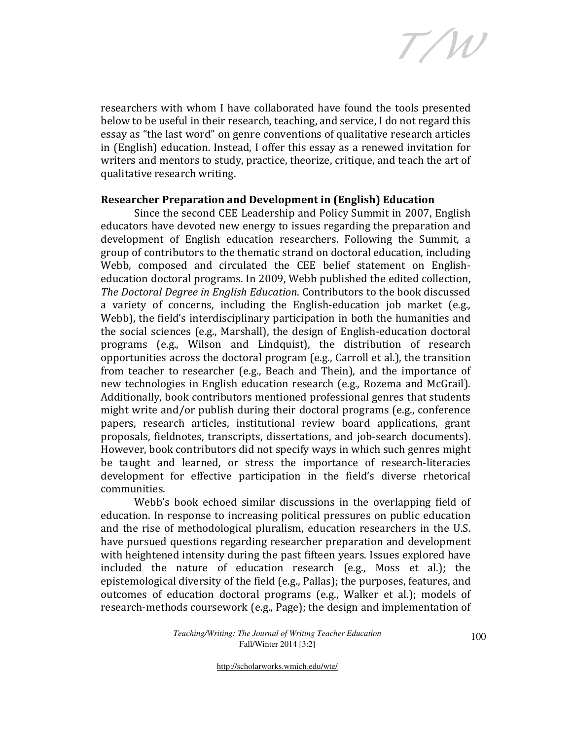T/W

researchers with whom I have collaborated have found the tools presented below to be useful in their research, teaching, and service, I do not regard this essay as "the last word" on genre conventions of qualitative research articles in (English) education. Instead, I offer this essay as a renewed invitation for writers and mentors to study, practice, theorize, critique, and teach the art of qualitative research writing.

# Researcher Preparation and Development in (English) Education

Since the second CEE Leadership and Policy Summit in 2007, English educators have devoted new energy to issues regarding the preparation and development of English education researchers. Following the Summit, a group of contributors to the thematic strand on doctoral education, including Webb, composed and circulated the CEE belief statement on Englisheducation doctoral programs. In 2009, Webb published the edited collection, The Doctoral Degree in English Education. Contributors to the book discussed a variety of concerns, including the English-education job market (e.g., Webb), the field's interdisciplinary participation in both the humanities and the social sciences (e.g., Marshall), the design of English-education doctoral programs (e.g., Wilson and Lindquist), the distribution of research opportunities across the doctoral program (e.g., Carroll et al.), the transition from teacher to researcher (e.g., Beach and Thein), and the importance of new technologies in English education research (e.g., Rozema and McGrail). Additionally, book contributors mentioned professional genres that students might write and/or publish during their doctoral programs (e.g., conference papers, research articles, institutional review board applications, grant proposals, fieldnotes, transcripts, dissertations, and job-search documents). However, book contributors did not specify ways in which such genres might be taught and learned, or stress the importance of research-literacies development for effective participation in the field's diverse rhetorical communities.

Webb's book echoed similar discussions in the overlapping field of education. In response to increasing political pressures on public education and the rise of methodological pluralism, education researchers in the U.S. have pursued questions regarding researcher preparation and development with heightened intensity during the past fifteen years. Issues explored have included the nature of education research (e.g., Moss et al.); the epistemological diversity of the field (e.g., Pallas); the purposes, features, and outcomes of education doctoral programs (e.g., Walker et al.); models of research-methods coursework (e.g., Page); the design and implementation of

> *Teaching/Writing: The Journal of Writing Teacher Education*  Fall/Winter 2014 [3:2]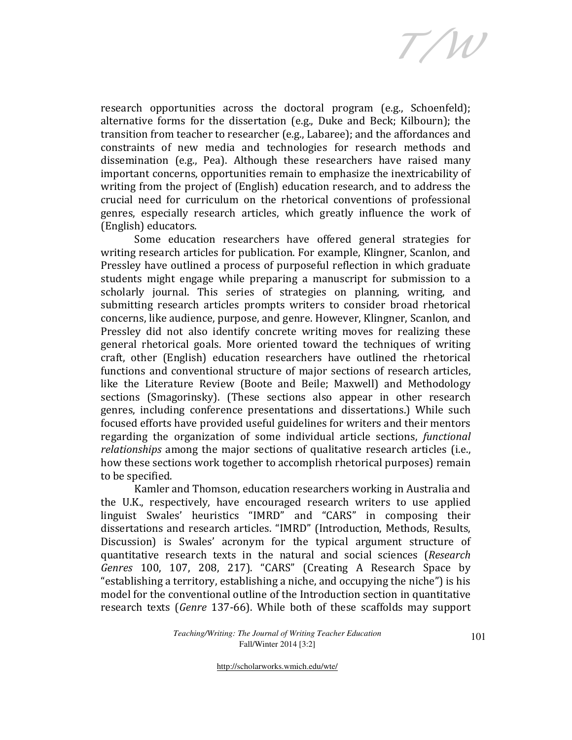T/W

research opportunities across the doctoral program (e.g., Schoenfeld); alternative forms for the dissertation (e.g., Duke and Beck; Kilbourn); the transition from teacher to researcher (e.g., Labaree); and the affordances and constraints of new media and technologies for research methods and dissemination (e.g., Pea). Although these researchers have raised many important concerns, opportunities remain to emphasize the inextricability of writing from the project of (English) education research, and to address the crucial need for curriculum on the rhetorical conventions of professional genres, especially research articles, which greatly influence the work of (English) educators.

Some education researchers have offered general strategies for writing research articles for publication. For example, Klingner, Scanlon, and Pressley have outlined a process of purposeful reflection in which graduate students might engage while preparing a manuscript for submission to a scholarly journal. This series of strategies on planning, writing, and submitting research articles prompts writers to consider broad rhetorical concerns, like audience, purpose, and genre. However, Klingner, Scanlon, and Pressley did not also identify concrete writing moves for realizing these general rhetorical goals. More oriented toward the techniques of writing craft, other (English) education researchers have outlined the rhetorical functions and conventional structure of major sections of research articles, like the Literature Review (Boote and Beile; Maxwell) and Methodology sections (Smagorinsky). (These sections also appear in other research genres, including conference presentations and dissertations.) While such focused efforts have provided useful guidelines for writers and their mentors regarding the organization of some individual article sections, functional relationships among the major sections of qualitative research articles (i.e., how these sections work together to accomplish rhetorical purposes) remain to be specified.

Kamler and Thomson, education researchers working in Australia and the U.K., respectively, have encouraged research writers to use applied linguist Swales' heuristics "IMRD" and "CARS" in composing their dissertations and research articles. "IMRD" (Introduction, Methods, Results, Discussion) is Swales' acronym for the typical argument structure of quantitative research texts in the natural and social sciences (Research Genres 100, 107, 208, 217). "CARS" (Creating A Research Space by "establishing a territory, establishing a niche, and occupying the niche") is his model for the conventional outline of the Introduction section in quantitative research texts (Genre 137-66). While both of these scaffolds may support

> *Teaching/Writing: The Journal of Writing Teacher Education*  Fall/Winter 2014 [3:2]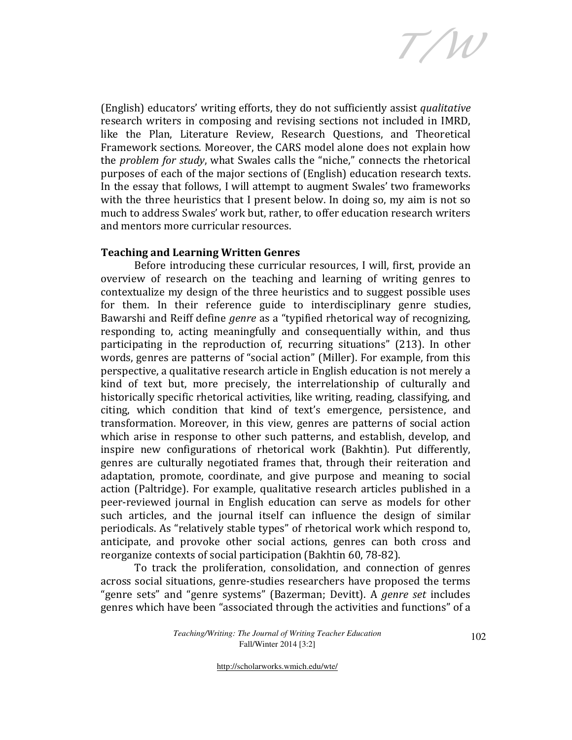T/W

(English) educators' writing efforts, they do not sufficiently assist qualitative research writers in composing and revising sections not included in IMRD, like the Plan, Literature Review, Research Questions, and Theoretical Framework sections. Moreover, the CARS model alone does not explain how the problem for study, what Swales calls the "niche," connects the rhetorical purposes of each of the major sections of (English) education research texts. In the essay that follows, I will attempt to augment Swales' two frameworks with the three heuristics that I present below. In doing so, my aim is not so much to address Swales' work but, rather, to offer education research writers and mentors more curricular resources.

# Teaching and Learning Written Genres

Before introducing these curricular resources, I will, first, provide an overview of research on the teaching and learning of writing genres to contextualize my design of the three heuristics and to suggest possible uses for them. In their reference guide to interdisciplinary genre studies, Bawarshi and Reiff define genre as a "typified rhetorical way of recognizing, responding to, acting meaningfully and consequentially within, and thus participating in the reproduction of, recurring situations" (213). In other words, genres are patterns of "social action" (Miller). For example, from this perspective, a qualitative research article in English education is not merely a kind of text but, more precisely, the interrelationship of culturally and historically specific rhetorical activities, like writing, reading, classifying, and citing, which condition that kind of text's emergence, persistence, and transformation. Moreover, in this view, genres are patterns of social action which arise in response to other such patterns, and establish, develop, and inspire new configurations of rhetorical work (Bakhtin). Put differently, genres are culturally negotiated frames that, through their reiteration and adaptation, promote, coordinate, and give purpose and meaning to social action (Paltridge). For example, qualitative research articles published in a peer-reviewed journal in English education can serve as models for other such articles, and the journal itself can influence the design of similar periodicals. As "relatively stable types" of rhetorical work which respond to, anticipate, and provoke other social actions, genres can both cross and reorganize contexts of social participation (Bakhtin 60, 78-82).

To track the proliferation, consolidation, and connection of genres across social situations, genre-studies researchers have proposed the terms "genre sets" and "genre systems" (Bazerman; Devitt). A *genre set* includes genres which have been "associated through the activities and functions" of a

> *Teaching/Writing: The Journal of Writing Teacher Education*  Fall/Winter 2014 [3:2]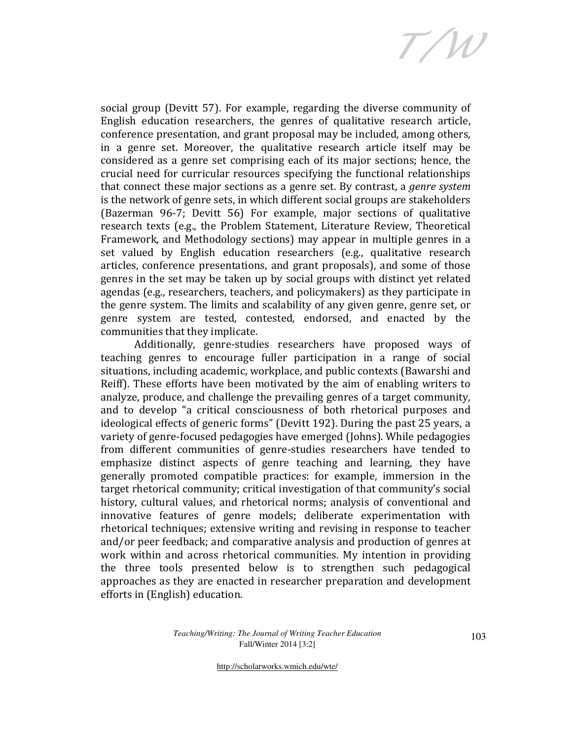T/W

social group (Devitt 57). For example, regarding the diverse community of English education researchers, the genres of qualitative research article, conference presentation, and grant proposal may be included, among others, in a genre set. Moreover, the qualitative research article itself may be considered as a genre set comprising each of its major sections; hence, the crucial need for curricular resources specifying the functional relationships that connect these major sections as a genre set. By contrast, a genre system is the network of genre sets, in which different social groups are stakeholders (Bazerman 96-7; Devitt 56) For example, major sections of qualitative research texts (e.g., the Problem Statement, Literature Review, Theoretical Framework, and Methodology sections) may appear in multiple genres in a set valued by English education researchers (e.g., qualitative research articles, conference presentations, and grant proposals), and some of those genres in the set may be taken up by social groups with distinct yet related agendas (e.g., researchers, teachers, and policymakers) as they participate in the genre system. The limits and scalability of any given genre, genre set, or genre system are tested, contested, endorsed, and enacted by the communities that they implicate.

 Additionally, genre-studies researchers have proposed ways of teaching genres to encourage fuller participation in a range of social situations, including academic, workplace, and public contexts (Bawarshi and Reiff). These efforts have been motivated by the aim of enabling writers to analyze, produce, and challenge the prevailing genres of a target community, and to develop "a critical consciousness of both rhetorical purposes and ideological effects of generic forms" (Devitt 192). During the past 25 years, a variety of genre-focused pedagogies have emerged (Johns). While pedagogies from different communities of genre-studies researchers have tended to emphasize distinct aspects of genre teaching and learning, they have generally promoted compatible practices: for example, immersion in the target rhetorical community; critical investigation of that community's social history, cultural values, and rhetorical norms; analysis of conventional and innovative features of genre models; deliberate experimentation with rhetorical techniques; extensive writing and revising in response to teacher and/or peer feedback; and comparative analysis and production of genres at work within and across rhetorical communities. My intention in providing the three tools presented below is to strengthen such pedagogical approaches as they are enacted in researcher preparation and development efforts in (English) education.

> *Teaching/Writing: The Journal of Writing Teacher Education*  Fall/Winter 2014 [3:2]

103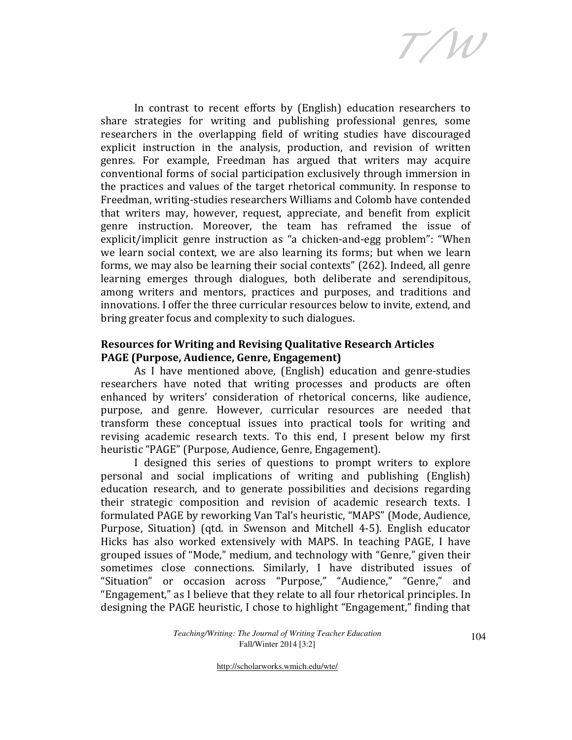T/W

In contrast to recent efforts by (English) education researchers to share strategies for writing and publishing professional genres, some researchers in the overlapping field of writing studies have discouraged explicit instruction in the analysis, production, and revision of written genres. For example, Freedman has argued that writers may acquire conventional forms of social participation exclusively through immersion in the practices and values of the target rhetorical community. In response to Freedman, writing-studies researchers Williams and Colomb have contended that writers may, however, request, appreciate, and benefit from explicit genre instruction. Moreover, the team has reframed the issue of explicit/implicit genre instruction as "a chicken-and-egg problem": "When we learn social context, we are also learning its forms; but when we learn forms, we may also be learning their social contexts" (262). Indeed, all genre learning emerges through dialogues, both deliberate and serendipitous, among writers and mentors, practices and purposes, and traditions and innovations. I offer the three curricular resources below to invite, extend, and bring greater focus and complexity to such dialogues.

# Resources for Writing and Revising Qualitative Research Articles PAGE (Purpose, Audience, Genre, Engagement)

 As I have mentioned above, (English) education and genre-studies researchers have noted that writing processes and products are often enhanced by writers' consideration of rhetorical concerns, like audience, purpose, and genre. However, curricular resources are needed that transform these conceptual issues into practical tools for writing and revising academic research texts. To this end, I present below my first heuristic "PAGE" (Purpose, Audience, Genre, Engagement).

I designed this series of questions to prompt writers to explore personal and social implications of writing and publishing (English) education research, and to generate possibilities and decisions regarding their strategic composition and revision of academic research texts. I formulated PAGE by reworking Van Tal's heuristic, "MAPS" (Mode, Audience, Purpose, Situation) (qtd. in Swenson and Mitchell 4-5). English educator Hicks has also worked extensively with MAPS. In teaching PAGE, I have grouped issues of "Mode," medium, and technology with "Genre," given their sometimes close connections. Similarly, I have distributed issues of "Situation" or occasion across "Purpose," "Audience," "Genre," and "Engagement," as I believe that they relate to all four rhetorical principles. In designing the PAGE heuristic, I chose to highlight "Engagement," finding that

> *Teaching/Writing: The Journal of Writing Teacher Education*  Fall/Winter 2014 [3:2]

104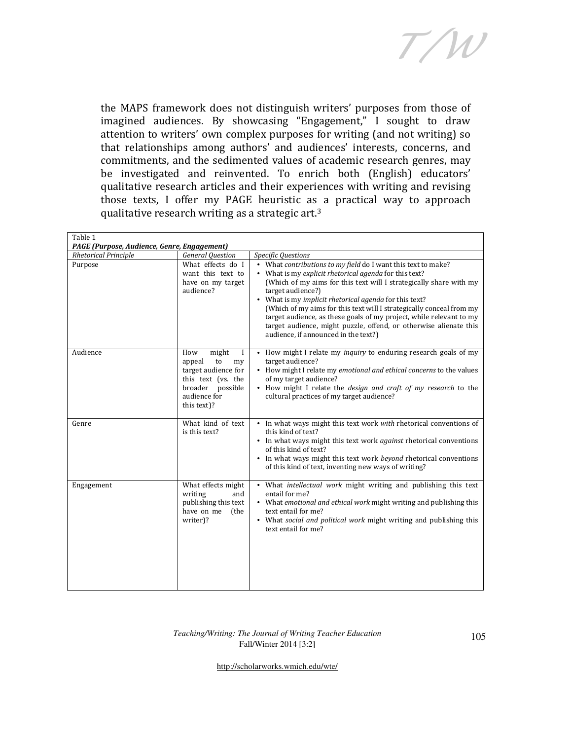T/W

the MAPS framework does not distinguish writers' purposes from those of imagined audiences. By showcasing "Engagement," I sought to draw attention to writers' own complex purposes for writing (and not writing) so that relationships among authors' and audiences' interests, concerns, and commitments, and the sedimented values of academic research genres, may be investigated and reinvented. To enrich both (English) educators' qualitative research articles and their experiences with writing and revising those texts, I offer my PAGE heuristic as a practical way to approach qualitative research writing as a strategic art.<sup>3</sup>

| Table 1<br>PAGE (Purpose, Audience, Genre, Engagement) |                                                                                                                                       |                                                                                                                                                                                                                                                                                                                                                                                                                                                                                                                                          |  |
|--------------------------------------------------------|---------------------------------------------------------------------------------------------------------------------------------------|------------------------------------------------------------------------------------------------------------------------------------------------------------------------------------------------------------------------------------------------------------------------------------------------------------------------------------------------------------------------------------------------------------------------------------------------------------------------------------------------------------------------------------------|--|
| <b>Rhetorical Principle</b>                            | <b>General Question</b>                                                                                                               | Specific Questions                                                                                                                                                                                                                                                                                                                                                                                                                                                                                                                       |  |
| Purpose                                                | What effects do I<br>want this text to<br>have on my target<br>audience?                                                              | • What contributions to my field do I want this text to make?<br>• What is my explicit rhetorical agenda for this text?<br>(Which of my aims for this text will I strategically share with my<br>target audience?)<br>• What is my implicit rhetorical agenda for this text?<br>(Which of my aims for this text will I strategically conceal from my<br>target audience, as these goals of my project, while relevant to my<br>target audience, might puzzle, offend, or otherwise alienate this<br>audience, if announced in the text?) |  |
| Audience                                               | might<br>How<br>appeal<br>to<br>my<br>target audience for<br>this text (vs. the<br>broader<br>possible<br>audience for<br>this text)? | • How might I relate my <i>inquiry</i> to enduring research goals of my<br>target audience?<br>• How might I relate my emotional and ethical concerns to the values<br>of my target audience?<br>• How might I relate the design and craft of my research to the<br>cultural practices of my target audience?                                                                                                                                                                                                                            |  |
| Genre                                                  | What kind of text<br>is this text?                                                                                                    | • In what ways might this text work with rhetorical conventions of<br>this kind of text?<br>• In what ways might this text work <i>against</i> rhetorical conventions<br>of this kind of text?<br>• In what ways might this text work beyond rhetorical conventions<br>of this kind of text, inventing new ways of writing?                                                                                                                                                                                                              |  |
| Engagement                                             | What effects might<br>writing<br>and<br>publishing this text<br>have on me<br>(the<br>writer)?                                        | • What intellectual work might writing and publishing this text<br>entail for me?<br>• What emotional and ethical work might writing and publishing this<br>text entail for me?<br>• What social and political work might writing and publishing this<br>text entail for me?                                                                                                                                                                                                                                                             |  |

#### *Teaching/Writing: The Journal of Writing Teacher Education*  Fall/Winter 2014 [3:2]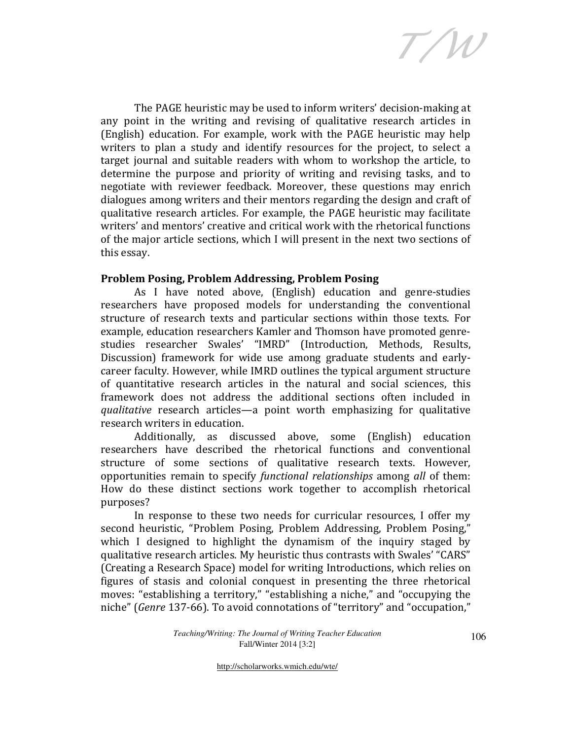T/W

The PAGE heuristic may be used to inform writers' decision-making at any point in the writing and revising of qualitative research articles in (English) education. For example, work with the PAGE heuristic may help writers to plan a study and identify resources for the project, to select a target journal and suitable readers with whom to workshop the article, to determine the purpose and priority of writing and revising tasks, and to negotiate with reviewer feedback. Moreover, these questions may enrich dialogues among writers and their mentors regarding the design and craft of qualitative research articles. For example, the PAGE heuristic may facilitate writers' and mentors' creative and critical work with the rhetorical functions of the major article sections, which I will present in the next two sections of this essay.

# Problem Posing, Problem Addressing, Problem Posing

As I have noted above, (English) education and genre-studies researchers have proposed models for understanding the conventional structure of research texts and particular sections within those texts. For example, education researchers Kamler and Thomson have promoted genrestudies researcher Swales' "IMRD" (Introduction, Methods, Results, Discussion) framework for wide use among graduate students and earlycareer faculty. However, while IMRD outlines the typical argument structure of quantitative research articles in the natural and social sciences, this framework does not address the additional sections often included in qualitative research articles—a point worth emphasizing for qualitative research writers in education.

Additionally, as discussed above, some (English) education researchers have described the rhetorical functions and conventional structure of some sections of qualitative research texts. However, opportunities remain to specify functional relationships among all of them: How do these distinct sections work together to accomplish rhetorical purposes?

In response to these two needs for curricular resources, I offer my second heuristic, "Problem Posing, Problem Addressing, Problem Posing," which I designed to highlight the dynamism of the inquiry staged by qualitative research articles. My heuristic thus contrasts with Swales' "CARS" (Creating a Research Space) model for writing Introductions, which relies on figures of stasis and colonial conquest in presenting the three rhetorical moves: "establishing a territory," "establishing a niche," and "occupying the niche" (Genre 137-66). To avoid connotations of "territory" and "occupation,"

> *Teaching/Writing: The Journal of Writing Teacher Education*  Fall/Winter 2014 [3:2]

106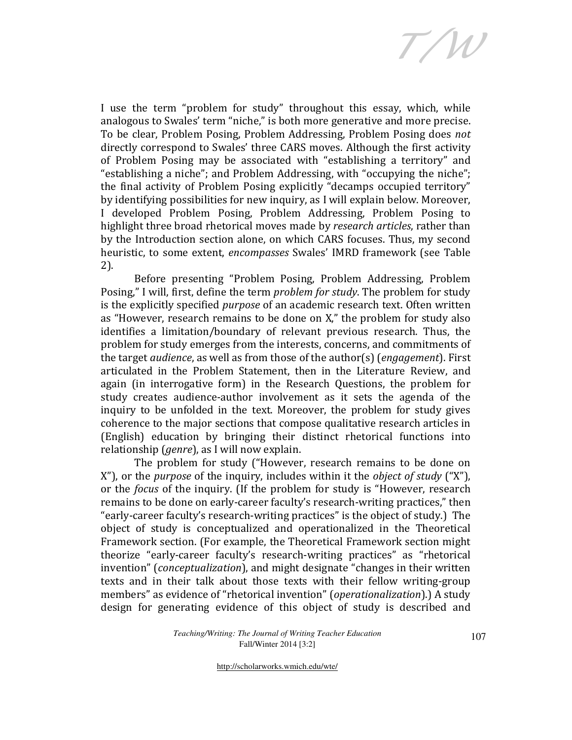T/W

I use the term "problem for study" throughout this essay, which, while analogous to Swales' term "niche," is both more generative and more precise. To be clear, Problem Posing, Problem Addressing, Problem Posing does not directly correspond to Swales' three CARS moves. Although the first activity of Problem Posing may be associated with "establishing a territory" and "establishing a niche"; and Problem Addressing, with "occupying the niche"; the final activity of Problem Posing explicitly "decamps occupied territory" by identifying possibilities for new inquiry, as I will explain below. Moreover, I developed Problem Posing, Problem Addressing, Problem Posing to highlight three broad rhetorical moves made by research articles, rather than by the Introduction section alone, on which CARS focuses. Thus, my second heuristic, to some extent, encompasses Swales' IMRD framework (see Table 2).

Before presenting "Problem Posing, Problem Addressing, Problem Posing," I will, first, define the term *problem for study*. The problem for study is the explicitly specified *purpose* of an academic research text. Often written as "However, research remains to be done on X," the problem for study also identifies a limitation/boundary of relevant previous research. Thus, the problem for study emerges from the interests, concerns, and commitments of the target audience, as well as from those of the author(s) (engagement). First articulated in the Problem Statement, then in the Literature Review, and again (in interrogative form) in the Research Questions, the problem for study creates audience-author involvement as it sets the agenda of the inquiry to be unfolded in the text. Moreover, the problem for study gives coherence to the major sections that compose qualitative research articles in (English) education by bringing their distinct rhetorical functions into relationship (genre), as I will now explain.

The problem for study ("However, research remains to be done on X"), or the *purpose* of the inquiry, includes within it the *object of study* ("X"), or the focus of the inquiry. (If the problem for study is "However, research remains to be done on early-career faculty's research-writing practices," then "early-career faculty's research-writing practices" is the object of study.) The object of study is conceptualized and operationalized in the Theoretical Framework section. (For example, the Theoretical Framework section might theorize "early-career faculty's research-writing practices" as "rhetorical invention" (conceptualization), and might designate "changes in their written texts and in their talk about those texts with their fellow writing-group members" as evidence of "rhetorical invention" (*operationalization*).) A study design for generating evidence of this object of study is described and

> *Teaching/Writing: The Journal of Writing Teacher Education*  Fall/Winter 2014 [3:2]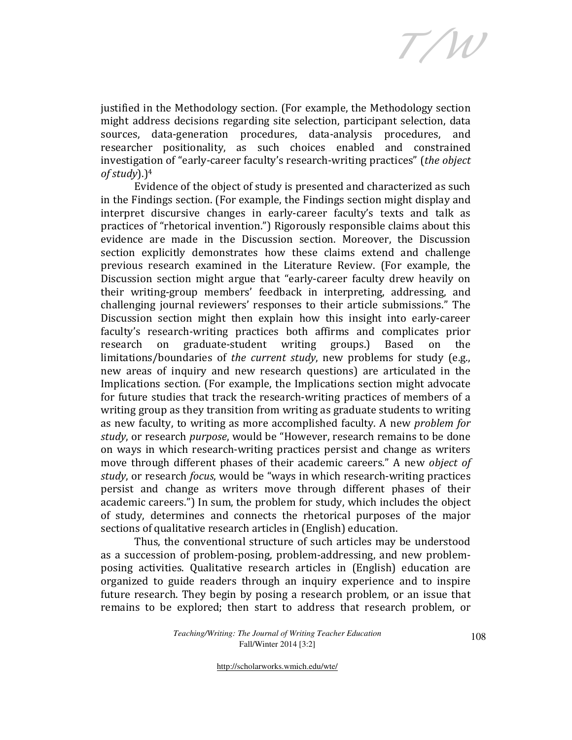T/W

justified in the Methodology section. (For example, the Methodology section might address decisions regarding site selection, participant selection, data sources, data-generation procedures, data-analysis procedures, and researcher positionality, as such choices enabled and constrained investigation of "early-career faculty's research-writing practices" (the object  $of$  study).)<sup>4</sup>

Evidence of the object of study is presented and characterized as such in the Findings section. (For example, the Findings section might display and interpret discursive changes in early-career faculty's texts and talk as practices of "rhetorical invention.") Rigorously responsible claims about this evidence are made in the Discussion section. Moreover, the Discussion section explicitly demonstrates how these claims extend and challenge previous research examined in the Literature Review. (For example, the Discussion section might argue that "early-career faculty drew heavily on their writing-group members' feedback in interpreting, addressing, and challenging journal reviewers' responses to their article submissions." The Discussion section might then explain how this insight into early-career faculty's research-writing practices both affirms and complicates prior research on graduate-student writing groups.) Based on the limitations/boundaries of the current study, new problems for study (e.g., new areas of inquiry and new research questions) are articulated in the Implications section. (For example, the Implications section might advocate for future studies that track the research-writing practices of members of a writing group as they transition from writing as graduate students to writing as new faculty, to writing as more accomplished faculty. A new problem for study, or research purpose, would be "However, research remains to be done on ways in which research-writing practices persist and change as writers move through different phases of their academic careers." A new object of study, or research *focus*, would be "ways in which research-writing practices persist and change as writers move through different phases of their academic careers.") In sum, the problem for study, which includes the object of study, determines and connects the rhetorical purposes of the major sections of qualitative research articles in (English) education.

Thus, the conventional structure of such articles may be understood as a succession of problem-posing, problem-addressing, and new problemposing activities. Qualitative research articles in (English) education are organized to guide readers through an inquiry experience and to inspire future research. They begin by posing a research problem, or an issue that remains to be explored; then start to address that research problem, or

> *Teaching/Writing: The Journal of Writing Teacher Education*  Fall/Winter 2014 [3:2]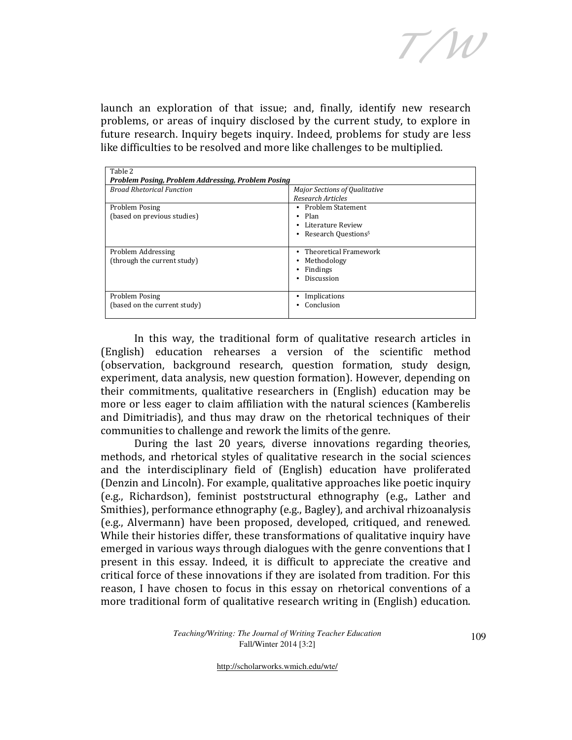T/W

launch an exploration of that issue; and, finally, identify new research problems, or areas of inquiry disclosed by the current study, to explore in future research. Inquiry begets inquiry. Indeed, problems for study are less like difficulties to be resolved and more like challenges to be multiplied.

| Table 2<br>Problem Posing, Problem Addressing, Problem Posing |                                                                                        |  |
|---------------------------------------------------------------|----------------------------------------------------------------------------------------|--|
| <b>Broad Rhetorical Function</b>                              | <b>Major Sections of Qualitative</b><br>Research Articles                              |  |
| Problem Posing<br>(based on previous studies)                 | Problem Statement<br>Plan<br>٠<br>Literature Review<br>Research Questions <sup>5</sup> |  |
| Problem Addressing<br>(through the current study)             | Theoretical Framework<br>Methodology<br>Findings<br>Discussion                         |  |
| Problem Posing<br>(based on the current study)                | Implications<br>Conclusion                                                             |  |

In this way, the traditional form of qualitative research articles in (English) education rehearses a version of the scientific method (observation, background research, question formation, study design, experiment, data analysis, new question formation). However, depending on their commitments, qualitative researchers in (English) education may be more or less eager to claim affiliation with the natural sciences (Kamberelis and Dimitriadis), and thus may draw on the rhetorical techniques of their communities to challenge and rework the limits of the genre.

During the last 20 years, diverse innovations regarding theories, methods, and rhetorical styles of qualitative research in the social sciences and the interdisciplinary field of (English) education have proliferated (Denzin and Lincoln). For example, qualitative approaches like poetic inquiry (e.g., Richardson), feminist poststructural ethnography (e.g., Lather and Smithies), performance ethnography (e.g., Bagley), and archival rhizoanalysis (e.g., Alvermann) have been proposed, developed, critiqued, and renewed. While their histories differ, these transformations of qualitative inquiry have emerged in various ways through dialogues with the genre conventions that I present in this essay. Indeed, it is difficult to appreciate the creative and critical force of these innovations if they are isolated from tradition. For this reason, I have chosen to focus in this essay on rhetorical conventions of a more traditional form of qualitative research writing in (English) education.

> *Teaching/Writing: The Journal of Writing Teacher Education*  Fall/Winter 2014 [3:2]

109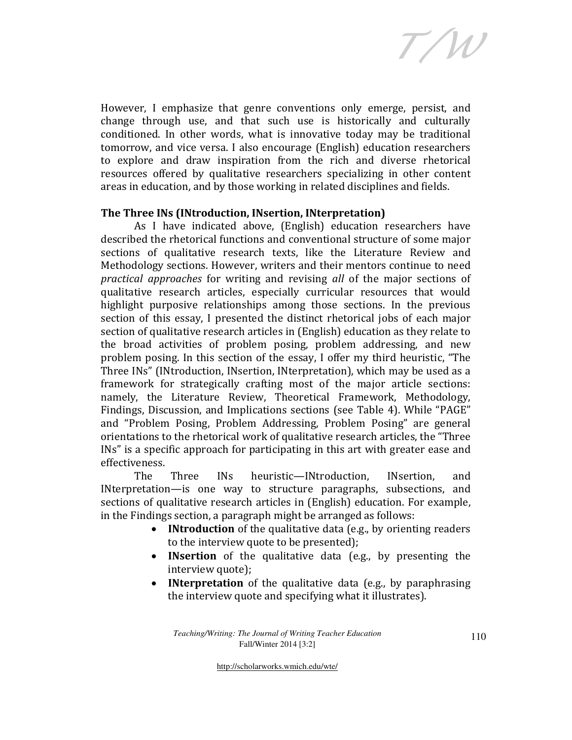T/W

However, I emphasize that genre conventions only emerge, persist, and change through use, and that such use is historically and culturally conditioned. In other words, what is innovative today may be traditional tomorrow, and vice versa. I also encourage (English) education researchers to explore and draw inspiration from the rich and diverse rhetorical resources offered by qualitative researchers specializing in other content areas in education, and by those working in related disciplines and fields.

# The Three INs (INtroduction, INsertion, INterpretation)

 As I have indicated above, (English) education researchers have described the rhetorical functions and conventional structure of some major sections of qualitative research texts, like the Literature Review and Methodology sections. However, writers and their mentors continue to need practical approaches for writing and revising all of the major sections of qualitative research articles, especially curricular resources that would highlight purposive relationships among those sections. In the previous section of this essay, I presented the distinct rhetorical jobs of each major section of qualitative research articles in (English) education as they relate to the broad activities of problem posing, problem addressing, and new problem posing. In this section of the essay, I offer my third heuristic, "The Three INs" (INtroduction, INsertion, INterpretation), which may be used as a framework for strategically crafting most of the major article sections: namely, the Literature Review, Theoretical Framework, Methodology, Findings, Discussion, and Implications sections (see Table 4). While "PAGE" and "Problem Posing, Problem Addressing, Problem Posing" are general orientations to the rhetorical work of qualitative research articles, the "Three INs" is a specific approach for participating in this art with greater ease and effectiveness.

The Three INs heuristic—INtroduction, INsertion, and INterpretation—is one way to structure paragraphs, subsections, and sections of qualitative research articles in (English) education. For example, in the Findings section, a paragraph might be arranged as follows:

- INtroduction of the qualitative data (e.g., by orienting readers to the interview quote to be presented);
- INsertion of the qualitative data (e.g., by presenting the interview quote);
- **INterpretation** of the qualitative data (e.g., by paraphrasing the interview quote and specifying what it illustrates).

*Teaching/Writing: The Journal of Writing Teacher Education*  Fall/Winter 2014 [3:2]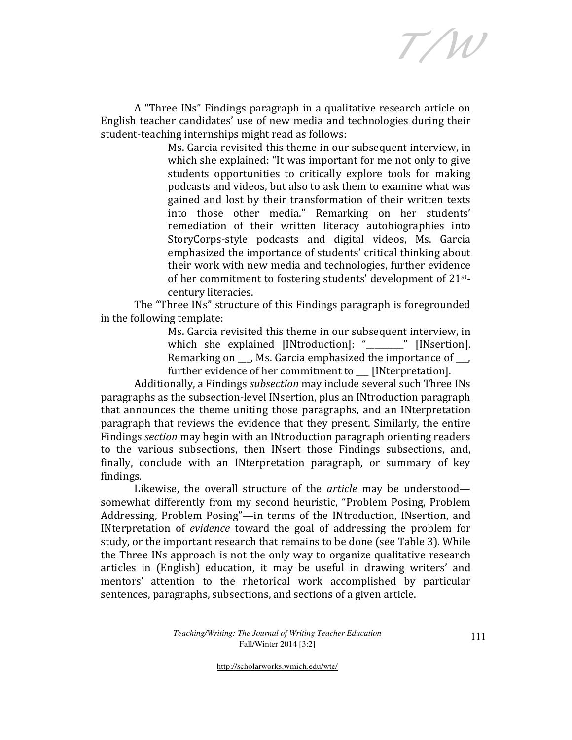T/W

A "Three INs" Findings paragraph in a qualitative research article on English teacher candidates' use of new media and technologies during their student-teaching internships might read as follows:

> Ms. Garcia revisited this theme in our subsequent interview, in which she explained: "It was important for me not only to give students opportunities to critically explore tools for making podcasts and videos, but also to ask them to examine what was gained and lost by their transformation of their written texts into those other media." Remarking on her students' remediation of their written literacy autobiographies into StoryCorps-style podcasts and digital videos, Ms. Garcia emphasized the importance of students' critical thinking about their work with new media and technologies, further evidence of her commitment to fostering students' development of 21stcentury literacies.

The "Three INs" structure of this Findings paragraph is foregrounded in the following template:

> Ms. Garcia revisited this theme in our subsequent interview, in which she explained [INtroduction]: " \_\_\_\_\_ " [INsertion]. Remarking on \_\_\_, Ms. Garcia emphasized the importance of \_\_\_, further evidence of her commitment to [INterpretation].

Additionally, a Findings subsection may include several such Three INs paragraphs as the subsection-level INsertion, plus an INtroduction paragraph that announces the theme uniting those paragraphs, and an INterpretation paragraph that reviews the evidence that they present. Similarly, the entire Findings section may begin with an INtroduction paragraph orienting readers to the various subsections, then INsert those Findings subsections, and, finally, conclude with an INterpretation paragraph, or summary of key findings.

Likewise, the overall structure of the article may be understood somewhat differently from my second heuristic, "Problem Posing, Problem Addressing, Problem Posing"—in terms of the INtroduction, INsertion, and INterpretation of evidence toward the goal of addressing the problem for study, or the important research that remains to be done (see Table 3). While the Three INs approach is not the only way to organize qualitative research articles in (English) education, it may be useful in drawing writers' and mentors' attention to the rhetorical work accomplished by particular sentences, paragraphs, subsections, and sections of a given article.

> *Teaching/Writing: The Journal of Writing Teacher Education*  Fall/Winter 2014 [3:2]

111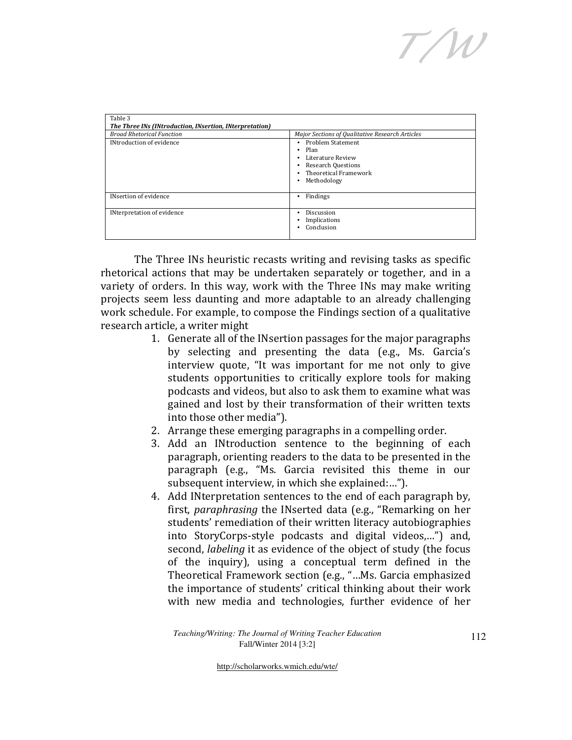T/W

| Table 3<br>The Three INs (INtroduction, INsertion, INterpretation) |                                                                                                                                                       |
|--------------------------------------------------------------------|-------------------------------------------------------------------------------------------------------------------------------------------------------|
| <b>Broad Rhetorical Function</b>                                   | Major Sections of Qualitative Research Articles                                                                                                       |
| <b>INtroduction of evidence</b>                                    | <b>Problem Statement</b><br>٠<br>Plan<br>٠<br>Literature Review<br>٠<br><b>Research Questions</b><br><b>Theoretical Framework</b><br>Methodology<br>٠ |
| <b>INsertion of evidence</b>                                       | Findings                                                                                                                                              |
| INterpretation of evidence                                         | Discussion<br>٠<br>Implications<br>Conclusion                                                                                                         |

The Three INs heuristic recasts writing and revising tasks as specific rhetorical actions that may be undertaken separately or together, and in a variety of orders. In this way, work with the Three INs may make writing projects seem less daunting and more adaptable to an already challenging work schedule. For example, to compose the Findings section of a qualitative research article, a writer might

- 1. Generate all of the INsertion passages for the major paragraphs by selecting and presenting the data (e.g., Ms. Garcia's interview quote, "It was important for me not only to give students opportunities to critically explore tools for making podcasts and videos, but also to ask them to examine what was gained and lost by their transformation of their written texts into those other media").
- 2. Arrange these emerging paragraphs in a compelling order.
- 3. Add an INtroduction sentence to the beginning of each paragraph, orienting readers to the data to be presented in the paragraph (e.g., "Ms. Garcia revisited this theme in our subsequent interview, in which she explained:…").
- 4. Add INterpretation sentences to the end of each paragraph by, first, paraphrasing the INserted data (e.g., "Remarking on her students' remediation of their written literacy autobiographies into StoryCorps-style podcasts and digital videos,…") and, second, labeling it as evidence of the object of study (the focus of the inquiry), using a conceptual term defined in the Theoretical Framework section (e.g., "…Ms. Garcia emphasized the importance of students' critical thinking about their work with new media and technologies, further evidence of her

*Teaching/Writing: The Journal of Writing Teacher Education*  Fall/Winter 2014 [3:2]

112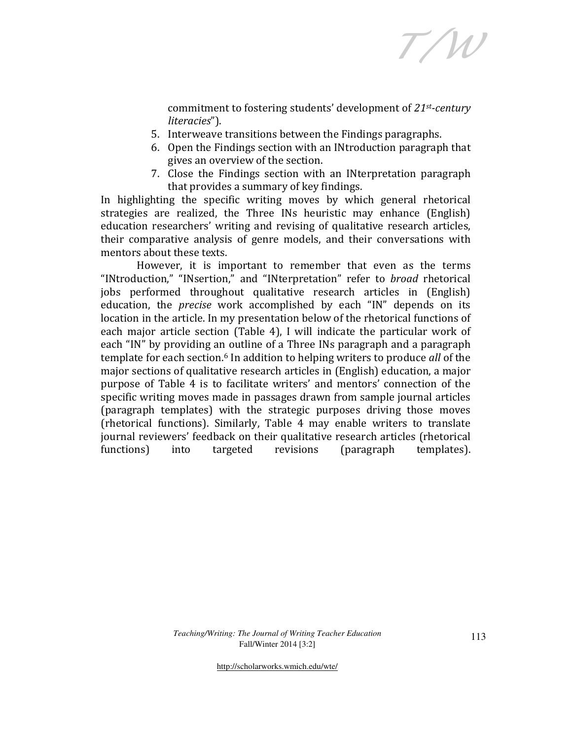T/W

commitment to fostering students' development of 21st-century literacies").

- 5. Interweave transitions between the Findings paragraphs.
- 6. Open the Findings section with an INtroduction paragraph that gives an overview of the section.
- 7. Close the Findings section with an INterpretation paragraph that provides a summary of key findings.

In highlighting the specific writing moves by which general rhetorical strategies are realized, the Three INs heuristic may enhance (English) education researchers' writing and revising of qualitative research articles, their comparative analysis of genre models, and their conversations with mentors about these texts.

 However, it is important to remember that even as the terms "INtroduction," "INsertion," and "INterpretation" refer to broad rhetorical jobs performed throughout qualitative research articles in (English) education, the precise work accomplished by each "IN" depends on its location in the article. In my presentation below of the rhetorical functions of each major article section (Table 4), I will indicate the particular work of each "IN" by providing an outline of a Three INs paragraph and a paragraph template for each section.<sup>6</sup> In addition to helping writers to produce *all* of the major sections of qualitative research articles in (English) education, a major purpose of Table 4 is to facilitate writers' and mentors' connection of the specific writing moves made in passages drawn from sample journal articles (paragraph templates) with the strategic purposes driving those moves (rhetorical functions). Similarly, Table 4 may enable writers to translate journal reviewers' feedback on their qualitative research articles (rhetorical functions) into targeted revisions (paragraph templates).

> *Teaching/Writing: The Journal of Writing Teacher Education*  Fall/Winter 2014 [3:2]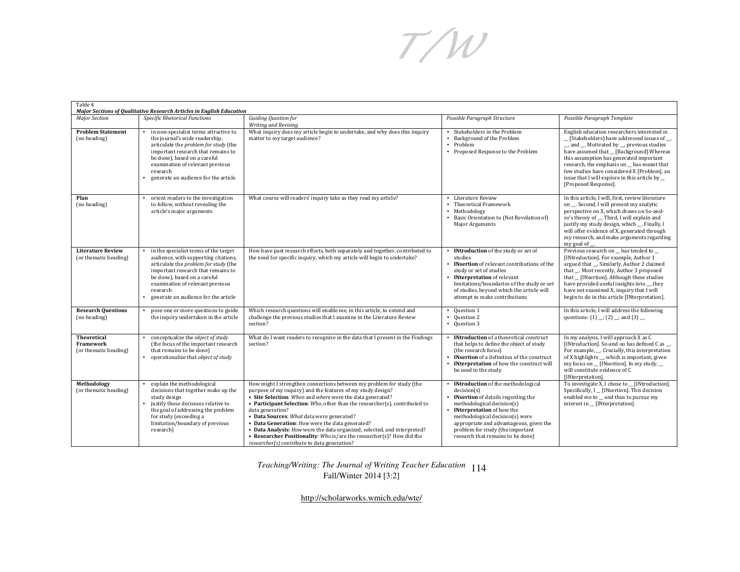T/W

| Table 4                                                  | Major Sections of Qualitative Research Articles in English Education                                                                                                                                                                                                                        |                                                                                                                                                                                                                                                                                                                                                                                                                                                                                                                                                                                                         |                                                                                                                                                                                                                                                                                                                                |                                                                                                                                                                                                                                                                                                                                                                                                       |
|----------------------------------------------------------|---------------------------------------------------------------------------------------------------------------------------------------------------------------------------------------------------------------------------------------------------------------------------------------------|---------------------------------------------------------------------------------------------------------------------------------------------------------------------------------------------------------------------------------------------------------------------------------------------------------------------------------------------------------------------------------------------------------------------------------------------------------------------------------------------------------------------------------------------------------------------------------------------------------|--------------------------------------------------------------------------------------------------------------------------------------------------------------------------------------------------------------------------------------------------------------------------------------------------------------------------------|-------------------------------------------------------------------------------------------------------------------------------------------------------------------------------------------------------------------------------------------------------------------------------------------------------------------------------------------------------------------------------------------------------|
| <b>Major Section</b>                                     | Specific Rhetorical Functions                                                                                                                                                                                                                                                               | <b>Guiding Question for</b><br>Writing and Revising                                                                                                                                                                                                                                                                                                                                                                                                                                                                                                                                                     | Possible Paragraph Structure                                                                                                                                                                                                                                                                                                   | Possible Paragraph Template                                                                                                                                                                                                                                                                                                                                                                           |
| <b>Problem Statement</b><br>(no heading)                 | in non-specialist terms attractive to<br>the journal's wide readership,<br>articulate the problem for study (the<br>important research that remains to<br>be done), based on a careful<br>examination of relevant previous<br>research<br>generate an audience for the article              | What inquiry does my article begin to undertake, and why does this inquiry<br>matter to my target audience?                                                                                                                                                                                                                                                                                                                                                                                                                                                                                             | Stakeholders in the Problem<br>Background of the Problem<br>Problem<br>• Proposed Response to the Problem                                                                                                                                                                                                                      | English education researchers interested in<br>_[Stakeholders] have addressed issues of __<br>_, and _. Motivated by _, previous studies<br>have assumed that _ [Background]. Whereas<br>this assumption has generated important<br>research, the emphasis on has meant that<br>few studies have considered X [Problem], an<br>issue that I will explore in this article by _<br>[Proposed Response]. |
| Plan<br>(no heading)                                     | orient readers to the investigation<br>to follow, without revealing the<br>article's major arguments                                                                                                                                                                                        | What course will readers' inquiry take as they read my article?                                                                                                                                                                                                                                                                                                                                                                                                                                                                                                                                         | • Literature Review<br>Theoretical Framework<br>• Methodology<br>Basic Orientation to (Not Revelation of)<br>Major Arguments                                                                                                                                                                                                   | In this article, I will, first, review literature<br>on . Second, I will present my analytic<br>perspective on X, which draws on So-and-<br>so's theory of __. Third, I will explain and<br>justify my study design, which __. Finally, I<br>will offer evidence of X, generated through<br>my research, and make arguments regarding<br>my goal of __.                                               |
| <b>Literature Review</b><br>(or thematic heading)        | in the specialist terms of the target<br>audience, with supporting citations,<br>articulate the <i>problem</i> for study (the<br>important research that remains to<br>be done), based on a careful<br>examination of relevant previous<br>research<br>generate an audience for the article | How have past research efforts, both separately and together, contributed to<br>the need for specific inquiry, which my article will begin to undertake?                                                                                                                                                                                                                                                                                                                                                                                                                                                | <b>INtroduction</b> of the study or set of<br>studies<br><b>INsertion</b> of relevant contributions of the<br>study or set of studies<br><b>INterpretation</b> of relevant<br>limitations/boundaries of the study or set<br>of studies, beyond which the article will<br>attempt to make contributions                         | Previous research on has tended to<br>[INtroduction]. For example, Author 1<br>argued that . Similarly, Author 2 claimed<br>that . Most recently, Author 3 proposed<br>that _ [INsertion]. Although these studies<br>have provided useful insights into _, they<br>have not examined X, inquiry that I will<br>begin to do in this article [INterpretation].                                          |
| <b>Research Questions</b><br>(no heading)                | pose one or more questions to guide<br>the inquiry undertaken in the article                                                                                                                                                                                                                | Which research questions will enable me, in this article, to extend and<br>challenge the previous studies that I examine in the Literature Review<br>section?                                                                                                                                                                                                                                                                                                                                                                                                                                           | Question 1<br>$\bullet$<br>Question 2<br>• Question 3                                                                                                                                                                                                                                                                          | In this article, I will address the following<br>questions: $(1)$ ; $(2)$ ; and $(3)$ .                                                                                                                                                                                                                                                                                                               |
| <b>Theoretical</b><br>Framework<br>(or thematic heading) | conceptualize the object of study<br>(the focus of the important research<br>that remains to be done)<br>operationalize that object of study                                                                                                                                                | What do I want readers to recognize in the data that I present in the Findings<br>section?                                                                                                                                                                                                                                                                                                                                                                                                                                                                                                              | <b>INtroduction</b> of a theoretical construct<br>that helps to define the object of study<br>(the research focus)<br>• INsertion of a definition of the construct<br><b>INterpretation</b> of how the construct will<br>be used in the study                                                                                  | In my analysis, I will approach X as C<br>[INtroduction]. So-and-so has defined C as .<br>For example,  Crucially, this interpretation<br>of X highlights _, which is important, given<br>my focus on _ [INsertion]. In my study, _<br>will constitute evidence of C<br>[INterpretation]                                                                                                              |
| Methodology<br>(or thematic heading)                     | explain the methodological<br>decisions that together make up the<br>study design<br>justify those decisions relative to<br>the goal of addressing the problem<br>for study (exceeding a<br>limitation/boundary of previous<br>research)                                                    | How might I strengthen connections between my problem for study (the<br>purpose of my inquiry) and the features of my study design?<br>• Site Selection: When and where were the data generated?<br>• Participant Selection: Who, other than the researcher(s), contributed to<br>data generation?<br>• Data Sources: What data were generated?<br>• Data Generation: How were the data generated?<br>• Data Analysis: How were the data organized, selected, and interpreted?<br>• Researcher Positionality: Who is/are the researcher(s)? How did the<br>researcher(s) contribute to data generation? | <b>INtroduction</b> of the methodological<br>decision(s)<br><b>INsertion</b> of details regarding the<br>methodological decision(s)<br><b>INterpretation</b> of how the<br>methodological decision(s) were<br>appropriate and advantageous, given the<br>problem for study (the important<br>research that remains to be done) | To investigate X, I chose to _ [INtroduction].<br>Specifically, I _ [INsertion]. This decision<br>enabled me to _ and thus to pursue my<br>interest in _ [INterpretation].                                                                                                                                                                                                                            |

*Teaching/Writing: The Journal of Writing Teacher Education*  114Fall/Winter 2014 [3:2]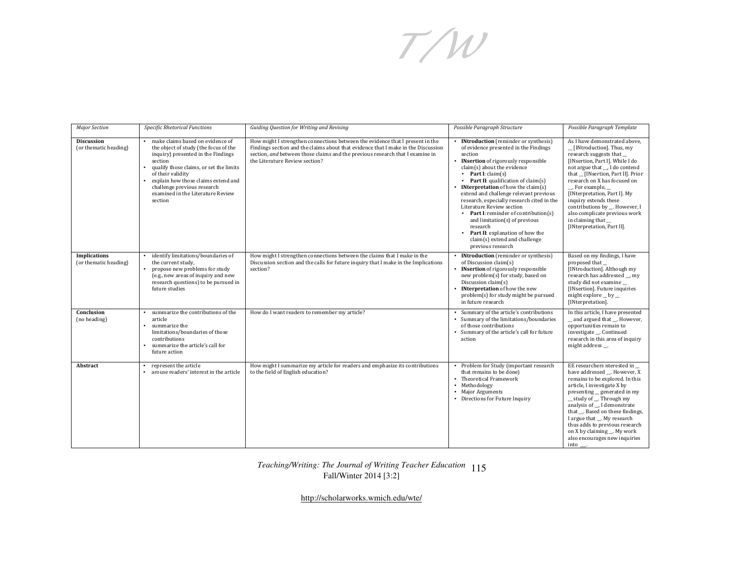T/W

| <b>Major Section</b>                         | Specific Rhetorical Functions                                                                                                                                                                                                                                                                                    | Guiding Question for Writing and Revising                                                                                                                                                                                                                                             | Possible Paragraph Structure                                                                                                                                                                                                                                                                                                                                                                                                                                                                                                                                                                 | Possible Paragraph Template                                                                                                                                                                                                                                                                                                                                                                                                    |
|----------------------------------------------|------------------------------------------------------------------------------------------------------------------------------------------------------------------------------------------------------------------------------------------------------------------------------------------------------------------|---------------------------------------------------------------------------------------------------------------------------------------------------------------------------------------------------------------------------------------------------------------------------------------|----------------------------------------------------------------------------------------------------------------------------------------------------------------------------------------------------------------------------------------------------------------------------------------------------------------------------------------------------------------------------------------------------------------------------------------------------------------------------------------------------------------------------------------------------------------------------------------------|--------------------------------------------------------------------------------------------------------------------------------------------------------------------------------------------------------------------------------------------------------------------------------------------------------------------------------------------------------------------------------------------------------------------------------|
| <b>Discussion</b><br>(or thematic heading)   | make claims based on evidence of<br>the object of study (the focus of the<br>inquiry) presented in the Findings<br>section<br>qualify those claims, or set the limits<br>of their validity<br>explain how those claims extend and<br>challenge previous research<br>examined in the Literature Review<br>section | How might I strengthen connections between the evidence that I present in the<br>Findings section and the claims about that evidence that I make in the Discussion<br>section, and between those claims and the previous research that I examine in<br>the Literature Review section? | <b>INtroduction</b> (reminder or synthesis)<br>of evidence presented in the Findings<br>section<br><b>INsertion</b> of rigorously responsible<br>claim(s) about the evidence<br>Part I: $claim(s)$<br>• Part II: qualification of claim(s)<br><b>INterpretation</b> of how the claim $(s)$<br>extend and challenge relevant previous<br>research, especially research cited in the<br>Literature Review section<br>Part I: reminder of contribution(s)<br>and limitation(s) of previous<br>research<br>Part II: explanation of how the<br>claim(s) extend and challenge<br>previous research | As I have demonstrated above.<br>[INtroduction]. Thus, my<br>research suggests that<br>[INsertion, Part I]. While I do<br>not argue that , I do contend<br>that _ [INsertion, Part II]. Prior<br>research on X has focused on<br>. For example,<br>[INterpretation, Part I]. My<br>inquiry extends these<br>contributions by __. However, I<br>also complicate previous work<br>in claiming that<br>[INterpretation, Part II]. |
| <b>Implications</b><br>(or thematic heading) | identify limitations/boundaries of<br>the current study,<br>propose new problems for study<br>(e.g., new areas of inquiry and new<br>research questions) to be pursued in<br>future studies                                                                                                                      | How might I strengthen connections between the claims that I make in the<br>Discussion section and the calls for future inquiry that I make in the Implications<br>section?                                                                                                           | • INtroduction (reminder or synthesis)<br>of Discussion claim(s)<br><b>INsertion</b> of rigorously responsible<br>new problem(s) for study, based on<br>Discussion claim(s)<br>• INterpretation of how the new<br>problem(s) for study might be pursued<br>in future research                                                                                                                                                                                                                                                                                                                | Based on my findings, I have<br>proposed that<br>[INtroduction]. Although my<br>research has addressed __, my<br>study did not examine_<br>[INsertion]. Future inquiries<br>might explore $\_$ by $\_$<br>[INterpretation].                                                                                                                                                                                                    |
| Conclusion<br>(no heading)                   | summarize the contributions of the<br>article<br>summarize the<br>limitations/boundaries of those<br>contributions<br>summarize the article's call for<br>future action                                                                                                                                          | How do I want readers to remember my article?                                                                                                                                                                                                                                         | Summary of the article's contributions<br>• Summary of the limitations/boundaries<br>of those contributions<br>• Summary of the article's call for future<br>action                                                                                                                                                                                                                                                                                                                                                                                                                          | In this article, I have presented<br>and argued that _. However,<br>opportunities remain to<br>investigate __. Continued<br>research in this area of inquiry<br>might address .                                                                                                                                                                                                                                                |
| Abstract                                     | represent the article<br>arouse readers' interest in the article                                                                                                                                                                                                                                                 | How might I summarize my article for readers and emphasize its contributions<br>to the field of English education?                                                                                                                                                                    | • Problem for Study (important research<br>that remains to be done)<br>• Theoretical Framework<br>• Methodology<br>• Major Arguments<br>• Directions for Future Inquiry                                                                                                                                                                                                                                                                                                                                                                                                                      | EE researchers nterested in<br>have addressed __. However, X<br>remains to be explored. In this<br>article, I investigate X by<br>presenting generated in my<br>study of _. Through my<br>analysis of __, I demonstrate<br>that _. Based on these findings,<br>I argue that __. My research<br>thus adds to previous research<br>on X by claiming __. My work<br>also encourages new inquiries<br>into .                       |

#### *Teaching/Writing: The Journal of Writing Teacher Education*  115Fall/Winter 2014 [3:2]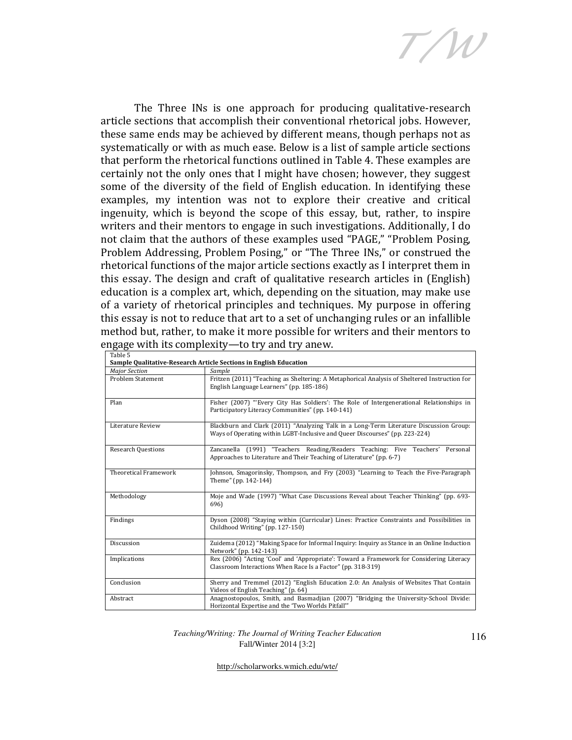T/W

The Three INs is one approach for producing qualitative-research article sections that accomplish their conventional rhetorical jobs. However, these same ends may be achieved by different means, though perhaps not as systematically or with as much ease. Below is a list of sample article sections that perform the rhetorical functions outlined in Table 4. These examples are certainly not the only ones that I might have chosen; however, they suggest some of the diversity of the field of English education. In identifying these examples, my intention was not to explore their creative and critical ingenuity, which is beyond the scope of this essay, but, rather, to inspire writers and their mentors to engage in such investigations. Additionally, I do not claim that the authors of these examples used "PAGE," "Problem Posing, Problem Addressing, Problem Posing," or "The Three INs," or construed the rhetorical functions of the major article sections exactly as I interpret them in this essay. The design and craft of qualitative research articles in (English) education is a complex art, which, depending on the situation, may make use of a variety of rhetorical principles and techniques. My purpose in offering this essay is not to reduce that art to a set of unchanging rules or an infallible method but, rather, to make it more possible for writers and their mentors to engage with its complexity—to try and try anew.

| Table 5                      | Sample Qualitative-Research Article Sections in English Education                                                                                                     |
|------------------------------|-----------------------------------------------------------------------------------------------------------------------------------------------------------------------|
| <b>Major Section</b>         | Sample                                                                                                                                                                |
| <b>Problem Statement</b>     | Fritzen (2011) "Teaching as Sheltering: A Metaphorical Analysis of Sheltered Instruction for<br>English Language Learners" (pp. 185-186)                              |
| Plan                         | Fisher (2007) "Every City Has Soldiers': The Role of Intergenerational Relationships in<br>Participatory Literacy Communities" (pp. 140-141)                          |
| Literature Review            | Blackburn and Clark (2011) "Analyzing Talk in a Long-Term Literature Discussion Group:<br>Ways of Operating within LGBT-Inclusive and Queer Discourses" (pp. 223-224) |
| <b>Research Questions</b>    | Zancanella (1991) "Teachers Reading/Readers Teaching: Five Teachers'<br>Personal<br>Approaches to Literature and Their Teaching of Literature" (pp. 6-7)              |
| <b>Theoretical Framework</b> | Johnson, Smagorinsky, Thompson, and Fry (2003) "Learning to Teach the Five-Paragraph<br>Theme" (pp. 142-144)                                                          |
| Methodology                  | Moje and Wade (1997) "What Case Discussions Reveal about Teacher Thinking" (pp. 693-<br>696)                                                                          |
| Findings                     | Dyson (2008) "Staying within (Curricular) Lines: Practice Constraints and Possibilities in<br>Childhood Writing" (pp. 127-150)                                        |
| Discussion                   | Zuidema (2012) "Making Space for Informal Inquiry: Inquiry as Stance in an Online Induction<br>Network" (pp. 142-143)                                                 |
| Implications                 | Rex (2006) "Acting 'Cool' and 'Appropriate': Toward a Framework for Considering Literacy<br>Classroom Interactions When Race Is a Factor" (pp. 318-319)               |
| Conclusion                   | Sherry and Tremmel (2012) "English Education 2.0: An Analysis of Websites That Contain<br>Videos of English Teaching" (p. 64)                                         |
| Abstract                     | Anagnostopoulos, Smith, and Basmadjian (2007) "Bridging the University-School Divide:<br>Horizontal Expertise and the 'Two Worlds Pitfall'"                           |

*Teaching/Writing: The Journal of Writing Teacher Education*  Fall/Winter 2014 [3:2]

116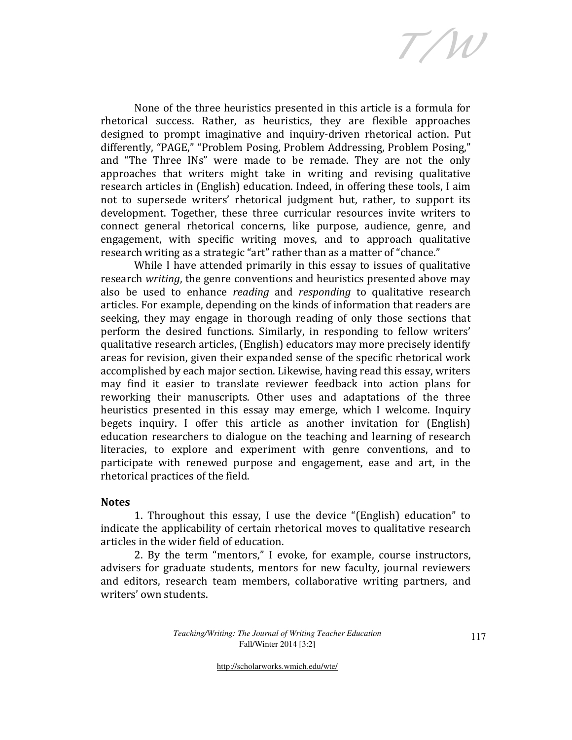T/W

None of the three heuristics presented in this article is a formula for rhetorical success. Rather, as heuristics, they are flexible approaches designed to prompt imaginative and inquiry-driven rhetorical action. Put differently, "PAGE," "Problem Posing, Problem Addressing, Problem Posing," and "The Three INs" were made to be remade. They are not the only approaches that writers might take in writing and revising qualitative research articles in (English) education. Indeed, in offering these tools, I aim not to supersede writers' rhetorical judgment but, rather, to support its development. Together, these three curricular resources invite writers to connect general rhetorical concerns, like purpose, audience, genre, and engagement, with specific writing moves, and to approach qualitative research writing as a strategic "art" rather than as a matter of "chance."

While I have attended primarily in this essay to issues of qualitative research writing, the genre conventions and heuristics presented above may also be used to enhance *reading* and *responding* to qualitative research articles. For example, depending on the kinds of information that readers are seeking, they may engage in thorough reading of only those sections that perform the desired functions. Similarly, in responding to fellow writers' qualitative research articles, (English) educators may more precisely identify areas for revision, given their expanded sense of the specific rhetorical work accomplished by each major section. Likewise, having read this essay, writers may find it easier to translate reviewer feedback into action plans for reworking their manuscripts. Other uses and adaptations of the three heuristics presented in this essay may emerge, which I welcome. Inquiry begets inquiry. I offer this article as another invitation for (English) education researchers to dialogue on the teaching and learning of research literacies, to explore and experiment with genre conventions, and to participate with renewed purpose and engagement, ease and art, in the rhetorical practices of the field.

#### **Notes**

1. Throughout this essay, I use the device "(English) education" to indicate the applicability of certain rhetorical moves to qualitative research articles in the wider field of education.

2. By the term "mentors," I evoke, for example, course instructors, advisers for graduate students, mentors for new faculty, journal reviewers and editors, research team members, collaborative writing partners, and writers' own students.

> *Teaching/Writing: The Journal of Writing Teacher Education*  Fall/Winter 2014 [3:2]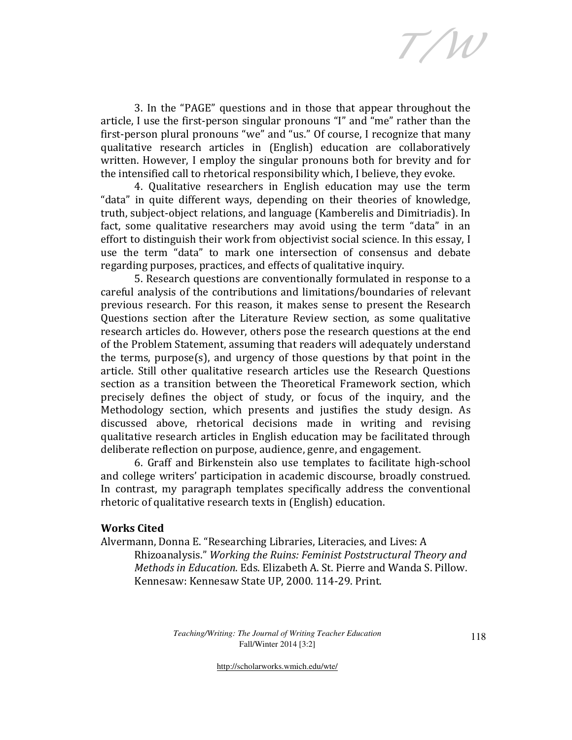T/W

3. In the "PAGE" questions and in those that appear throughout the article, I use the first-person singular pronouns "I" and "me" rather than the first-person plural pronouns "we" and "us." Of course, I recognize that many qualitative research articles in (English) education are collaboratively written. However, I employ the singular pronouns both for brevity and for the intensified call to rhetorical responsibility which, I believe, they evoke.

4. Qualitative researchers in English education may use the term "data" in quite different ways, depending on their theories of knowledge, truth, subject-object relations, and language (Kamberelis and Dimitriadis). In fact, some qualitative researchers may avoid using the term "data" in an effort to distinguish their work from objectivist social science. In this essay, I use the term "data" to mark one intersection of consensus and debate regarding purposes, practices, and effects of qualitative inquiry.

5. Research questions are conventionally formulated in response to a careful analysis of the contributions and limitations/boundaries of relevant previous research. For this reason, it makes sense to present the Research Questions section after the Literature Review section, as some qualitative research articles do. However, others pose the research questions at the end of the Problem Statement, assuming that readers will adequately understand the terms, purpose(s), and urgency of those questions by that point in the article. Still other qualitative research articles use the Research Questions section as a transition between the Theoretical Framework section, which precisely defines the object of study, or focus of the inquiry, and the Methodology section, which presents and justifies the study design. As discussed above, rhetorical decisions made in writing and revising qualitative research articles in English education may be facilitated through deliberate reflection on purpose, audience, genre, and engagement.

6. Graff and Birkenstein also use templates to facilitate high-school and college writers' participation in academic discourse, broadly construed. In contrast, my paragraph templates specifically address the conventional rhetoric of qualitative research texts in (English) education.

### Works Cited

Alvermann, Donna E. "Researching Libraries, Literacies, and Lives: A Rhizoanalysis." Working the Ruins: Feminist Poststructural Theory and Methods in Education. Eds. Elizabeth A. St. Pierre and Wanda S. Pillow. Kennesaw: Kennesaw State UP, 2000. 114-29. Print.

> *Teaching/Writing: The Journal of Writing Teacher Education*  Fall/Winter 2014 [3:2]

118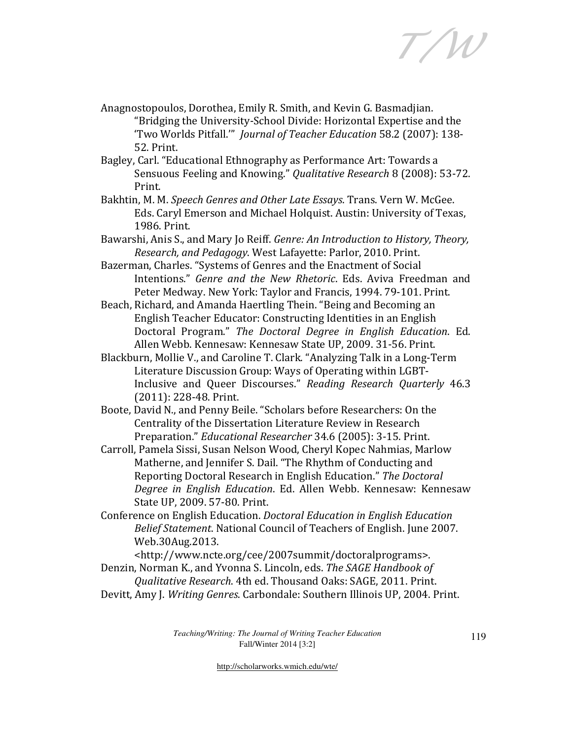T/W

- Anagnostopoulos, Dorothea, Emily R. Smith, and Kevin G. Basmadjian. "Bridging the University-School Divide: Horizontal Expertise and the 'Two Worlds Pitfall.'" Journal of Teacher Education 58.2 (2007): 138- 52. Print.
- Bagley, Carl. "Educational Ethnography as Performance Art: Towards a Sensuous Feeling and Knowing." Qualitative Research 8 (2008): 53-72. Print.
- Bakhtin, M. M. Speech Genres and Other Late Essays. Trans. Vern W. McGee. Eds. Caryl Emerson and Michael Holquist. Austin: University of Texas, 1986. Print.
- Bawarshi, Anis S., and Mary Jo Reiff. Genre: An Introduction to History, Theory, Research, and Pedagogy. West Lafayette: Parlor, 2010. Print.
- Bazerman, Charles. "Systems of Genres and the Enactment of Social Intentions." Genre and the New Rhetoric. Eds. Aviva Freedman and Peter Medway. New York: Taylor and Francis, 1994. 79-101. Print.
- Beach, Richard, and Amanda Haertling Thein. "Being and Becoming an English Teacher Educator: Constructing Identities in an English Doctoral Program." The Doctoral Degree in English Education. Ed. Allen Webb. Kennesaw: Kennesaw State UP, 2009. 31-56. Print.
- Blackburn, Mollie V., and Caroline T. Clark. "Analyzing Talk in a Long-Term Literature Discussion Group: Ways of Operating within LGBT-Inclusive and Queer Discourses." Reading Research Quarterly 46.3 (2011): 228-48. Print.
- Boote, David N., and Penny Beile. "Scholars before Researchers: On the Centrality of the Dissertation Literature Review in Research Preparation." Educational Researcher 34.6 (2005): 3-15. Print.
- Carroll, Pamela Sissi, Susan Nelson Wood, Cheryl Kopec Nahmias, Marlow Matherne, and Jennifer S. Dail. "The Rhythm of Conducting and Reporting Doctoral Research in English Education." The Doctoral Degree in English Education. Ed. Allen Webb. Kennesaw: Kennesaw State UP, 2009. 57-80. Print.
- Conference on English Education. Doctoral Education in English Education Belief Statement. National Council of Teachers of English. June 2007. Web.30Aug.2013.

<http://www.ncte.org/cee/2007summit/doctoralprograms>. Denzin, Norman K., and Yvonna S. Lincoln, eds. The SAGE Handbook of

- Qualitative Research. 4th ed. Thousand Oaks: SAGE, 2011. Print.
- Devitt, Amy J. Writing Genres. Carbondale: Southern Illinois UP, 2004. Print.

*Teaching/Writing: The Journal of Writing Teacher Education*  Fall/Winter 2014 [3:2]

119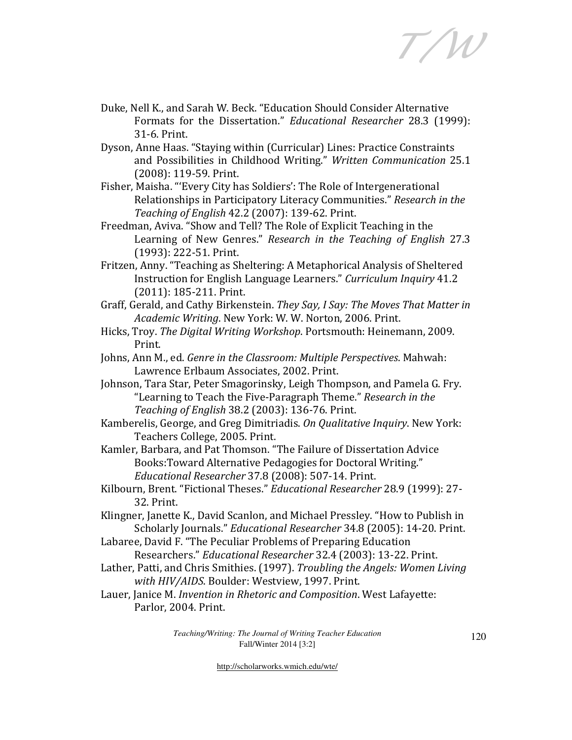T/W

- Duke, Nell K., and Sarah W. Beck. "Education Should Consider Alternative Formats for the Dissertation." Educational Researcher 28.3 (1999): 31-6. Print.
- Dyson, Anne Haas. "Staying within (Curricular) Lines: Practice Constraints and Possibilities in Childhood Writing." Written Communication 25.1 (2008): 119-59. Print.
- Fisher, Maisha. "'Every City has Soldiers': The Role of Intergenerational Relationships in Participatory Literacy Communities." Research in the Teaching of English 42.2 (2007): 139-62. Print.
- Freedman, Aviva. "Show and Tell? The Role of Explicit Teaching in the Learning of New Genres." Research in the Teaching of English 27.3 (1993): 222-51. Print.
- Fritzen, Anny. "Teaching as Sheltering: A Metaphorical Analysis of Sheltered Instruction for English Language Learners." Curriculum Inquiry 41.2 (2011): 185-211. Print.
- Graff, Gerald, and Cathy Birkenstein. They Say, I Say: The Moves That Matter in Academic Writing. New York: W. W. Norton, 2006. Print.
- Hicks, Troy. The Digital Writing Workshop. Portsmouth: Heinemann, 2009. Print.
- Johns, Ann M., ed. Genre in the Classroom: Multiple Perspectives. Mahwah: Lawrence Erlbaum Associates, 2002. Print.
- Johnson, Tara Star, Peter Smagorinsky, Leigh Thompson, and Pamela G. Fry. "Learning to Teach the Five-Paragraph Theme." Research in the Teaching of English 38.2 (2003): 136-76. Print.
- Kamberelis, George, and Greg Dimitriadis. On Qualitative Inquiry. New York: Teachers College, 2005. Print.
- Kamler, Barbara, and Pat Thomson. "The Failure of Dissertation Advice Books:Toward Alternative Pedagogies for Doctoral Writing." Educational Researcher 37.8 (2008): 507-14. Print.
- Kilbourn, Brent. "Fictional Theses." Educational Researcher 28.9 (1999): 27- 32. Print.
- Klingner, Janette K., David Scanlon, and Michael Pressley. "How to Publish in Scholarly Journals." Educational Researcher 34.8 (2005): 14-20. Print.
- Labaree, David F. "The Peculiar Problems of Preparing Education Researchers." Educational Researcher 32.4 (2003): 13-22. Print.
- Lather, Patti, and Chris Smithies. (1997). Troubling the Angels: Women Living with HIV/AIDS. Boulder: Westview, 1997. Print.
- Lauer, Janice M. Invention in Rhetoric and Composition. West Lafayette: Parlor, 2004. Print.

*Teaching/Writing: The Journal of Writing Teacher Education*  Fall/Winter 2014 [3:2]

120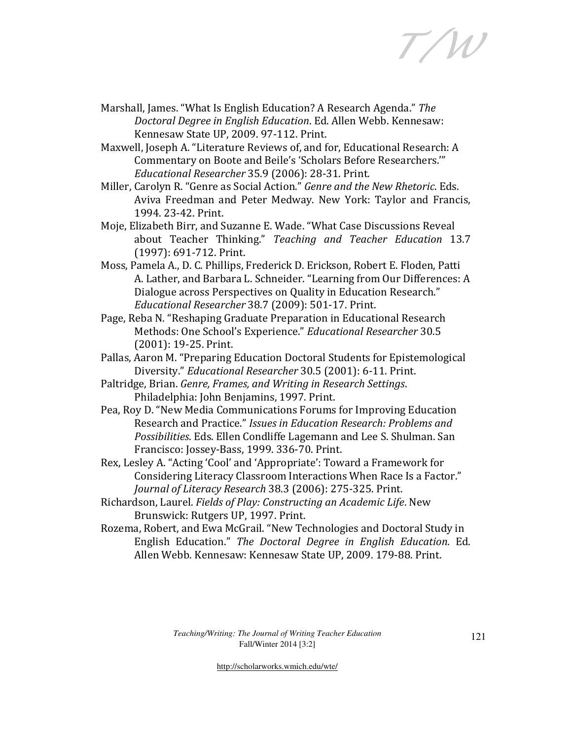T/W

- Marshall, James. "What Is English Education? A Research Agenda." The Doctoral Degree in English Education. Ed. Allen Webb. Kennesaw: Kennesaw State UP, 2009. 97-112. Print.
- Maxwell, Joseph A. "Literature Reviews of, and for, Educational Research: A Commentary on Boote and Beile's 'Scholars Before Researchers.'" Educational Researcher 35.9 (2006): 28-31. Print.
- Miller, Carolyn R. "Genre as Social Action." Genre and the New Rhetoric. Eds. Aviva Freedman and Peter Medway. New York: Taylor and Francis, 1994. 23-42. Print.
- Moje, Elizabeth Birr, and Suzanne E. Wade. "What Case Discussions Reveal about Teacher Thinking." Teaching and Teacher Education 13.7 (1997): 691-712. Print.
- Moss, Pamela A., D. C. Phillips, Frederick D. Erickson, Robert E. Floden, Patti A. Lather, and Barbara L. Schneider. "Learning from Our Differences: A Dialogue across Perspectives on Quality in Education Research." Educational Researcher 38.7 (2009): 501-17. Print.
- Page, Reba N. "Reshaping Graduate Preparation in Educational Research Methods: One School's Experience." Educational Researcher 30.5 (2001): 19-25. Print.
- Pallas, Aaron M. "Preparing Education Doctoral Students for Epistemological Diversity." Educational Researcher 30.5 (2001): 6-11. Print.
- Paltridge, Brian. Genre, Frames, and Writing in Research Settings. Philadelphia: John Benjamins, 1997. Print.
- Pea, Roy D. "New Media Communications Forums for Improving Education Research and Practice." Issues in Education Research: Problems and Possibilities. Eds. Ellen Condliffe Lagemann and Lee S. Shulman. San Francisco: Jossey-Bass, 1999. 336-70. Print.
- Rex, Lesley A. "Acting 'Cool' and 'Appropriate': Toward a Framework for Considering Literacy Classroom Interactions When Race Is a Factor." Journal of Literacy Research 38.3 (2006): 275-325. Print.
- Richardson, Laurel. Fields of Play: Constructing an Academic Life. New Brunswick: Rutgers UP, 1997. Print.
- Rozema, Robert, and Ewa McGrail. "New Technologies and Doctoral Study in English Education." The Doctoral Degree in English Education. Ed. Allen Webb. Kennesaw: Kennesaw State UP, 2009. 179-88. Print.

*Teaching/Writing: The Journal of Writing Teacher Education*  Fall/Winter 2014 [3:2]